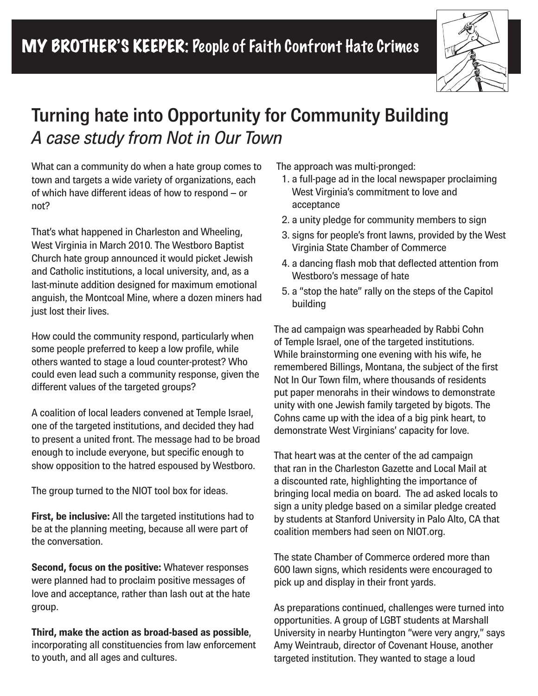

## **Turning hate into Opportunity for Community Building** *A case study from Not in Our Town*

*What can a community do when a hate group comes to town and targets a wide variety of organizations, each of which have different ideas of how to respond – or not?* 

*That's what happened in Charleston and Wheeling, West Virginia in March 2010. The Westboro Baptist Church hate group announced it would picket Jewish and Catholic institutions, a local university, and, as a last-minute addition designed for maximum emotional anguish, the Montcoal Mine, where a dozen miners had just lost their lives.*

*How could the community respond, particularly when some people preferred to keep a low profile, while others wanted to stage a loud counter-protest? Who could even lead such a community response, given the different values of the targeted groups?*

*A coalition of local leaders convened at Temple Israel, one of the targeted institutions, and decided they had to present a united front. The message had to be broad enough to include everyone, but specific enough to show opposition to the hatred espoused by Westboro.* 

*The group turned to the NIOT tool box for ideas.*

**First, be inclusive:** *All the targeted institutions had to be at the planning meeting, because all were part of the conversation.*

**Second, focus on the positive:** *Whatever responses were planned had to proclaim positive messages of love and acceptance, rather than lash out at the hate group.*

**Third, make the action as broad-based as possible***, incorporating all constituencies from law enforcement to youth, and all ages and cultures.*

 *The approach was multi-pronged:* 

- *1. a full-page ad in the local newspaper proclaiming West Virginia's commitment to love and acceptance*
- *2. a unity pledge for community members to sign*
- *3. signs for people's front lawns, provided by the West Virginia State Chamber of Commerce*
- *4. a dancing flash mob that deflected attention from Westboro's message of hate*
- *5. a "stop the hate" rally on the steps of the Capitol building*

*The ad campaign was spearheaded by Rabbi Cohn of Temple Israel, one of the targeted institutions. While brainstorming one evening with his wife, he remembered Billings, Montana, the subject of the first Not In Our Town film, where thousands of residents put paper menorahs in their windows to demonstrate unity with one Jewish family targeted by bigots. The Cohns came up with the idea of a big pink heart, to demonstrate West Virginians' capacity for love.* 

*That heart was at the center of the ad campaign that ran in the Charleston Gazette and Local Mail at a discounted rate, highlighting the importance of bringing local media on board. The ad asked locals to sign a unity pledge based on a similar pledge created by students at Stanford University in Palo Alto, CA that coalition members had seen on NIOT.org.* 

*The state Chamber of Commerce ordered more than 600 lawn signs, which residents were encouraged to pick up and display in their front yards.* 

*As preparations continued, challenges were turned into opportunities. A group of LGBT students at Marshall University in nearby Huntington "were very angry," says Amy Weintraub, director of Covenant House, another targeted institution. They wanted to stage a loud*